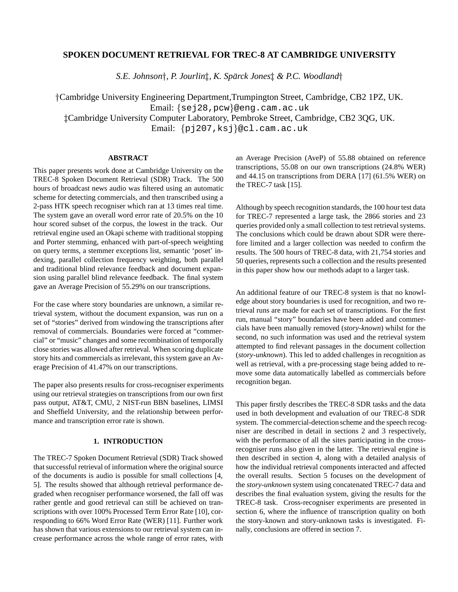# **SPOKEN DOCUMENT RETRIEVAL FOR TREC-8 AT CAMBRIDGE UNIVERSITY**

*S.E. Johnson*y*, P. Jourlin*z*, K. Sparck Jones ¨* z *& P.C. Woodland*y

yCambridge University Engineering Department,Trumpington Street, Cambridge, CB2 1PZ, UK. Email: {sej28,pcw}@eng.cam.ac.uk

zCambridge University Computer Laboratory, Pembroke Street, Cambridge, CB2 3QG, UK.

Email: {pj207,ksj}@cl.cam.ac.uk

### **ABSTRACT**

This paper presents work done at Cambridge University on the TREC-8 Spoken Document Retrieval (SDR) Track. The 500 hours of broadcast news audio was filtered using an automatic scheme for detecting commercials, and then transcribed using a 2-pass HTK speech recogniser which ran at 13 times real time. The system gave an overall word error rate of 20.5% on the 10 hour scored subset of the corpus, the lowest in the track. Our retrieval engine used an Okapi scheme with traditional stopping and Porter stemming, enhanced with part-of-speech weighting on query terms, a stemmer exceptions list, semantic 'poset' indexing, parallel collection frequency weighting, both parallel and traditional blind relevance feedback and document expansion using parallel blind relevance feedback. The final system gave an Average Precision of 55.29% on our transcriptions.

For the case where story boundaries are unknown, a similar retrieval system, without the document expansion, was run on a set of "stories" derived from windowing the transcriptions after removal of commercials. Boundaries were forced at "commercial" or "music" changes and some recombination of temporally close stories was allowed after retrieval. When scoring duplicate story hits and commercials as irrelevant, this system gave an Average Precision of 41.47% on our transcriptions.

The paper also presents results for cross-recogniser experiments using our retrieval strategies on transcriptions from our own first pass output, AT&T, CMU, 2 NIST-run BBN baselines, LIMSI and Sheffield University, and the relationship between performance and transcription error rate is shown.

#### **1. INTRODUCTION**

The TREC-7 Spoken Document Retrieval (SDR) Track showed that successful retrieval of information where the original source of the documents is audio is possible for small collections [4, 5]. The results showed that although retrieval performance degraded when recogniser performance worsened, the fall off was rather gentle and good retrieval can still be achieved on transcriptions with over 100% Processed Term Error Rate [10], corresponding to 66% Word Error Rate (WER) [11]. Further work has shown that various extensions to our retrieval system can increase performance across the whole range of error rates, with an Average Precision (AveP) of 55.88 obtained on reference transcriptions, 55.08 on our own transcriptions (24.8% WER) and 44.15 on transcriptions from DERA [17] (61.5% WER) on the TREC-7 task [15].

Although by speech recognition standards, the 100 hour test data for TREC-7 represented a large task, the 2866 stories and 23 queries provided only a small collection to test retrieval systems. The conclusions which could be drawn about SDR were therefore limited and a larger collection was needed to confirm the results. The 500 hours of TREC-8 data, with 21,754 stories and 50 queries, represents such a collection and the results presented in this paper show how our methods adapt to a larger task.

An additional feature of our TREC-8 system is that no knowledge about story boundaries is used for recognition, and two retrieval runs are made for each set of transcriptions. For the first run, manual "story" boundaries have been added and commercials have been manually removed (*story-known*) whilst for the second, no such information was used and the retrieval system attempted to find relevant passages in the document collection (*story-unknown*). This led to added challenges in recognition as well as retrieval, with a pre-processing stage being added to remove some data automatically labelled as commercials before recognition began.

This paper firstly describes the TREC-8 SDR tasks and the data used in both development and evaluation of our TREC-8 SDR system. The commercial-detection scheme and the speech recogniser are described in detail in sections 2 and 3 respectively, with the performance of all the sites participating in the crossrecogniser runs also given in the latter. The retrieval engine is then described in section 4, along with a detailed analysis of how the individual retrieval components interacted and affected the overall results. Section 5 focuses on the development of the *story-unknown* system using concatenated TREC-7 data and describes the final evaluation system, giving the results for the TREC-8 task. Cross-recogniser experiments are presented in section 6, where the influence of transcription quality on both the story-known and story-unknown tasks is investigated. Finally, conclusions are offered in section 7.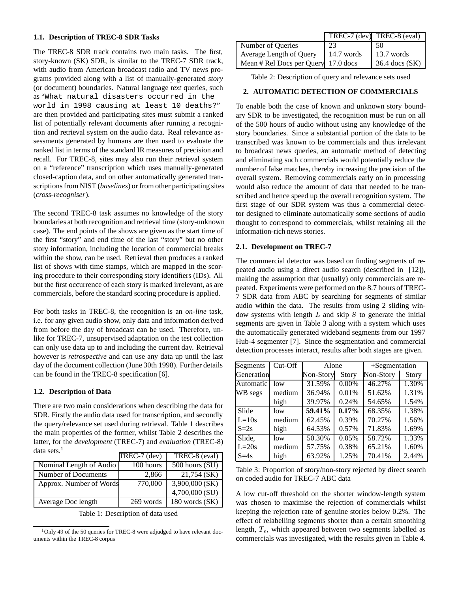### **1.1. Description of TREC-8 SDR Tasks**

The TREC-8 SDR track contains two main tasks. The first, story-known (SK) SDR, is similar to the TREC-7 SDR track, with audio from American broadcast radio and TV news programs provided along with a list of manually-generated *story* (or document) boundaries. Natural language *text* queries, such as "What natural disasters occurred in the world in 1998 causing at least 10 deaths?" are then provided and participating sites must submit a ranked list of potentially relevant documents after running a recognition and retrieval system on the audio data. Real relevance assessments generated by humans are then used to evaluate the ranked list in terms of the standard IR measures of precision and recall. For TREC-8, sites may also run their retrieval system on a "reference" transcription which uses manually-generated closed-caption data, and on other automatically generated transcriptions from NIST (*baselines*) or from other participating sites (*cross-recogniser*).

The second TREC-8 task assumes no knowledge of the story boundaries at both recognition and retrieval time (story-unknown case). The end points of the shows are given as the start time of the first "story" and end time of the last "story" but no other story information, including the location of commercial breaks within the show, can be used. Retrieval then produces a ranked list of shows with time stamps, which are mapped in the scoring procedure to their corresponding story identifiers (IDs). All but the first occurrence of each story is marked irrelevant, as are commercials, before the standard scoring procedure is applied.

For both tasks in TREC-8, the recognition is an *on-line* task, i.e. for any given audio show, only data and information derived from before the day of broadcast can be used. Therefore, unlike for TREC-7, unsupervised adaptation on the test collection can only use data up to and including the current day. Retrieval however is *retrospective* and can use any data up until the last day of the document collection (June 30th 1998). Further details can be found in the TREC-8 specification [6].

### **1.2. Description of Data**

There are two main considerations when describing the data for SDR. Firstly the audio data used for transcription, and secondly the query/relevance set used during retrieval. Table 1 describes the main properties of the former, whilst Table 2 describes the latter, for the *development* (TREC-7) and *evaluation* (TREC-8) data sets  $1$ 

|                         | TREC-7 (dev) | TREC-8 (eval)      |
|-------------------------|--------------|--------------------|
| Nominal Length of Audio | 100 hours    | $500$ hours $(SU)$ |
| Number of Documents     | 2,866        | 21,754 (SK)        |
| Approx. Number of Words | 770,000      | $3,900,000$ (SK)   |
|                         |              | 4,700,000 (SU)     |
| Average Doc length      | 269 words    | 180 words (SK)     |

Table 1: Description of data used

|                                     |            | TREC-7 (dev) TREC-8 (eval) |
|-------------------------------------|------------|----------------------------|
| Number of Queries                   | 23         | 50                         |
| Average Length of Query             | 14.7 words | 13.7 words                 |
| Mean # Rel Docs per Query 17.0 docs |            | $36.4$ docs $(SK)$         |

Table 2: Description of query and relevance sets used

## **2. AUTOMATIC DETECTION OF COMMERCIALS**

To enable both the case of known and unknown story boundary SDR to be investigated, the recognition must be run on all of the 500 hours of audio without using any knowledge of the story boundaries. Since a substantial portion of the data to be transcribed was known to be commercials and thus irrelevant to broadcast news queries, an automatic method of detecting and eliminating such commercials would potentially reduce the number of false matches, thereby increasing the precision of the overall system. Removing commercials early on in processing would also reduce the amount of data that needed to be transcribed and hence speed up the overall recognition system. The first stage of our SDR system was thus a commercial detector designed to eliminate automatically some sections of audio thought to correspond to commercials, whilst retaining all the information-rich news stories.

### **2.1. Development on TREC-7**

The commercial detector was based on finding segments of repeated audio using a direct audio search (described in [12]), making the assumption that (usually) only commercials are repeated. Experiments were performed on the 8.7 hours of TREC-7 SDR data from ABC by searching for segments of similar audio within the data. The results from using 2 sliding window systems with length  $L$  and skip  $S$  to generate the initial segments are given in Table 3 along with a system which uses the automatically generated wideband segments from our 1997 Hub-4 segmenter [7]. Since the segmentation and commercial detection processes interact, results after both stages are given.

| Segments   | Cut-Off | Alone     |              | +Segmentation |       |
|------------|---------|-----------|--------------|---------------|-------|
| Generation |         | Non-Story | <b>Story</b> | Non-Story     | Story |
| Automatic  | low     | 31.59%    | 0.00%        | 46.27%        | 1.30% |
| WB segs    | medium  | 36.94%    | 0.01%        | 51.62%        | 1.31% |
|            | high    | 39.97%    | 0.24%        | 54.65%        | 1.54% |
| Slide      | low     | 59.41%    | 0.17%        | 68.35%        | 1.38% |
| $L=10s$    | medium  | 62.45%    | 0.39%        | 70.27%        | 1.56% |
| $S=2s$     | high    | 64.53%    | 0.57%        | 71.83%        | 1.69% |
| Slide,     | low     | 50.30%    | 0.05%        | 58.72%        | 1.33% |
| $L=20s$    | medium  | 57.75%    | 0.38%        | 65.21%        | 1.60% |
| $S=4s$     | high    | 63.92%    | 1.25%        | 70.41%        | 2.44% |

Table 3: Proportion of story/non-story rejected by direct search on coded audio for TREC-7 ABC data

A low cut-off threshold on the shorter window-length system was chosen to maximise the rejection of commercials whilst keeping the rejection rate of genuine stories below 0.2%. The effect of relabelling segments shorter than a certain smoothing length,  $T_s$ , which appeared between two segments labelled as commercials was investigated, with the results given in Table 4.

<sup>&</sup>lt;sup>1</sup>Only 49 of the 50 queries for TREC-8 were adjudged to have relevant documents within the TREC-8 corpus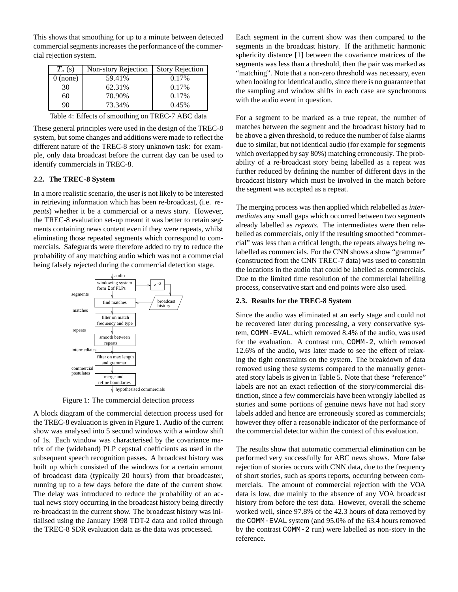This shows that smoothing for up to a minute between detected commercial segments increases the performance of the commercial rejection system.

| $T_s(s)$   | Non-story Rejection | <b>Story Rejection</b> |
|------------|---------------------|------------------------|
| $0$ (none) | 59.41%              | 0.17%                  |
| 30         | 62.31%              | 0.17%                  |
| 60         | 70.90%              | 0.17%                  |
| 90         | 73.34%              | 0.45%                  |

|  |  |  | Table 4: Effects of smoothing on TREC-7 ABC data |  |  |  |
|--|--|--|--------------------------------------------------|--|--|--|
|--|--|--|--------------------------------------------------|--|--|--|

These general principles were used in the design of the TREC-8 system, but some changes and additions were made to reflect the different nature of the TREC-8 story unknown task: for example, only data broadcast before the current day can be used to identify commercials in TREC-8.

### **2.2. The TREC-8 System**

In a more realistic scenario, the user is not likely to be interested in retrieving information which has been re-broadcast, (i.e. *repeats*) whether it be a commercial or a news story. However, the TREC-8 evaluation set-up meant it was better to retain segments containing news content even if they were repeats, whilst eliminating those repeated segments which correspond to commercials. Safeguards were therefore added to try to reduce the probability of any matching audio which was not a commercial being falsely rejected during the commercial detection stage.



Figure 1: The commercial detection process

A block diagram of the commercial detection process used for the TREC-8 evaluation is given in Figure 1. Audio of the current show was analysed into 5 second windows with a window shift of 1s. Each window was characterised by the covariance matrix of the (wideband) PLP cepstral coefficients as used in the subsequent speech recognition passes. A broadcast history was built up which consisted of the windows for a certain amount of broadcast data (typically 20 hours) from that broadcaster, running up to a few days before the date of the current show. The delay was introduced to reduce the probability of an actual news story occurring in the broadcast history being directly re-broadcast in the current show. The broadcast history was initialised using the January 1998 TDT-2 data and rolled through the TREC-8 SDR evaluation data as the data was processed.

Each segment in the current show was then compared to the segments in the broadcast history. If the arithmetic harmonic sphericity distance [1] between the covariance matrices of the segments was less than a threshold, then the pair was marked as "matching". Note that a non-zero threshold was necessary, even when looking for identical audio, since there is no guarantee that the sampling and window shifts in each case are synchronous with the audio event in question.

For a segment to be marked as a true repeat, the number of matches between the segment and the broadcast history had to be above a given threshold, to reduce the number of false alarms due to similar, but not identical audio (for example for segments which overlapped by say 80%) matching erroneously. The probability of a re-broadcast story being labelled as a repeat was further reduced by defining the number of different days in the broadcast history which must be involved in the match before the segment was accepted as a repeat.

The merging process was then applied which relabelled as *intermediates* any small gaps which occurred between two segments already labelled as *repeats*. The intermediates were then relabelled as commercials, only if the resulting smoothed "commercial" was less than a critical length, the repeats always being relabelled as commercials. For the CNN shows a show "grammar" (constructed from the CNN TREC-7 data) was used to constrain the locations in the audio that could be labelled as commercials. Due to the limited time resolution of the commercial labelling process, conservative start and end points were also used.

#### **2.3. Results for the TREC-8 System**

Since the audio was eliminated at an early stage and could not be recovered later during processing, a very conservative system, COMM-EVAL, which removed 8.4% of the audio, was used for the evaluation. A contrast run, COMM-2, which removed 12.6% of the audio, was later made to see the effect of relaxing the tight constraints on the system. The breakdown of data removed using these systems compared to the manually generated story labels is given in Table 5. Note that these "reference" labels are not an exact reflection of the story/commercial distinction, since a few commercials have been wrongly labelled as stories and some portions of genuine news have not had story labels added and hence are erroneously scored as commercials; however they offer a reasonable indicator of the performance of the commercial detector within the context of this evaluation.

The results show that automatic commercial elimination can be performed very successfully for ABC news shows. More false rejection of stories occurs with CNN data, due to the frequency of short stories, such as sports reports, occurring between commercials. The amount of commercial rejection with the VOA data is low, due mainly to the absence of any VOA broadcast history from before the test data. However, overall the scheme worked well, since 97.8% of the 42.3 hours of data removed by the COMM-EVAL system (and 95.0% of the 63.4 hours removed by the contrast COMM-2 run) were labelled as non-story in the reference.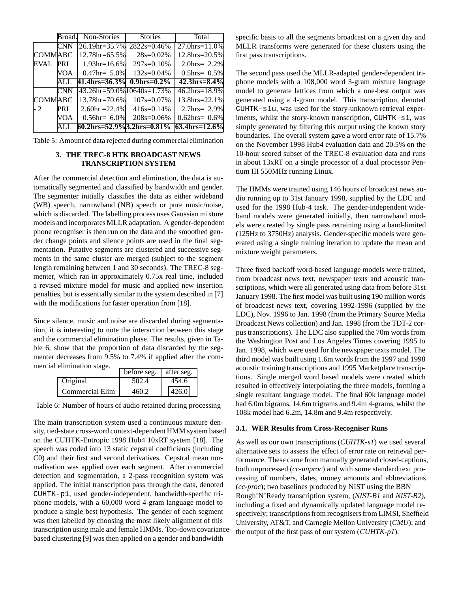|                | Broad      | Non-Stories                              | <b>Stories</b>     | Total                      |
|----------------|------------|------------------------------------------|--------------------|----------------------------|
|                | <b>CNN</b> | 26.19hr=35.7%                            | $2822s=0.46%$      | $27.0$ hrs= $11.0\%$       |
| <b>COMMABC</b> |            | 12.78hr=65.5%                            | $28s = 0.02\%$     | 12.8hrs=20.5%              |
| EVAL           | <b>PRI</b> | $1.93hr=16.6%$                           | $297s = 0.10\%$    | 2.0hrs= $2.2\%$            |
|                | VOA        | $0.47$ hr= 5.0%                          | $132s=0.04\%$      | $0.5$ hrs $= 0.5\%$        |
|                | ALL.       | 41.4hrs=36.3%                            | $0.9$ hrs= $0.2\%$ | $42.3$ hrs= $8.4\%$        |
|                | <b>CNN</b> | 43.26hr=59.0% 10640s=1.73%               |                    | $46.2 \text{hrs} = 18.9\%$ |
| <b>COMMABC</b> |            | 13.78hr=70.6%                            | $107s = 0.07\%$    | $13.8$ hrs= $22.1\%$       |
| - 2            | <b>PRI</b> | $2.60hr = 22.4%$                         | $416s = 0.14\%$    | 2.7hrs= $2.9\%$            |
|                | <b>VOA</b> | $0.56$ hr= 6.0%                          | $208s = 0.06\%$    | $0.62$ hrs= $0.6\%$        |
|                |            | $60.2 \text{hrs} = 52.9\%$ 3.2hrs= 0.81% |                    | 63.4hrs=12.6%              |

Table 5: Amount of data rejected during commercial elimination

## **3. THE TREC-8 HTK BROADCAST NEWS TRANSCRIPTION SYSTEM**

After the commercial detection and elimination, the data is automatically segmented and classified by bandwidth and gender. The segmenter initially classifies the data as either wideband (WB) speech, narrowband (NB) speech or pure music/noise, which is discarded. The labelling process uses Gaussian mixture models and incorporates MLLR adaptation. A gender-dependent phone recogniser is then run on the data and the smoothed gender change points and silence points are used in the final segmentation. Putative segments are clustered and successive segments in the same cluster are merged (subject to the segment length remaining between 1 and 30 seconds). The TREC-8 segmenter, which ran in approximately 0.75x real time, included a revised mixture model for music and applied new insertion penalties, but is essentially similar to the system described in [7] with the modifications for faster operation from [18].

Since silence, music and noise are discarded during segmentation, it is interesting to note the interaction between this stage and the commercial elimination phase. The results, given in Table 6, show that the proportion of data discarded by the segmenter decreases from 9.5% to 7.4% if applied after the commercial elimination stage.

|                 | before seg. | after seg. |
|-----------------|-------------|------------|
| Original        | 502.4       | 454.6      |
| Commercial Elim | 460 2       | 426.0      |

Table 6: Number of hours of audio retained during processing

The main transcription system used a continuous mixture density, tied-state cross-word context-dependent HMM system based on the CUHTK-Entropic 1998 Hub4 10xRT system [18]. The speech was coded into 13 static cepstral coefficients (including C0) and their first and second derivatives. Cepstral mean normalisation was applied over each segment. After commercial detection and segmentation, a 2-pass recognition system was applied. The initial transcription pass through the data, denoted CUHTK-p1, used gender-independent, bandwidth-specific triphone models, with a 60,000 word 4-gram language model to produce a single best hypothesis. The gender of each segment was then labelled by choosing the most likely alignment of this transcription using male and female HMMs. Top-down covariancebased clustering [9] was then applied on a gender and bandwidth

specific basis to all the segments broadcast on a given day and MLLR transforms were generated for these clusters using the first pass transcriptions.

The second pass used the MLLR-adapted gender-dependent triphone models with a 108,000 word 3-gram mixture language model to generate lattices from which a one-best output was generated using a 4-gram model. This transcription, denoted CUHTK-s1u, was used for the story-unknown retrieval experiments, whilst the story-known transcription, CUHTK-s1, was simply generated by filtering this output using the known story boundaries. The overall system gave a word error rate of 15.7% on the November 1998 Hub4 evaluation data and 20.5% on the 10-hour scored subset of the TREC-8 evaluation data and runs in about 13xRT on a single processor of a dual processor Pentium III 550MHz running Linux.

The HMMs were trained using 146 hours of broadcast news audio running up to 31st January 1998, supplied by the LDC and used for the 1998 Hub-4 task. The gender-independent wideband models were generated initially, then narrowband models were created by single pass retraining using a band-limited (125Hz to 3750Hz) analysis. Gender-specific models were generated using a single training iteration to update the mean and mixture weight parameters.

Three fixed backoff word-based language models were trained, from broadcast news text, newspaper texts and acoustic transcriptions, which were all generated using data from before 31st January 1998. The first model was built using 190 million words of broadcast news text, covering 1992-1996 (supplied by the LDC), Nov. 1996 to Jan. 1998 (from the Primary Source Media Broadcast News collection) and Jan. 1998 (from the TDT-2 corpus transcriptions). The LDC also supplied the 70m words from the Washington Post and Los Angeles Times covering 1995 to Jan. 1998, which were used for the newspaper texts model. The third model was built using 1.6m words from the 1997 and 1998 acoustic training transcriptions and 1995 Marketplace transcriptions. Single merged word based models were created which resulted in effectively interpolating the three models, forming a single resultant language model. The final 60k language model had 6.0m bigrams, 14.6m trigrams and 9.4m 4-grams, whilst the 108k model had 6.2m, 14.8m and 9.4m respectively.

### **3.1. WER Results from Cross-Recogniser Runs**

As well as our own transcriptions (*CUHTK-s1*) we used several alternative sets to assess the effect of error rate on retrieval performance. These came from manually generated closed-captions, both unprocessed (*cc-unproc*) and with some standard text processing of numbers, dates, money amounts and abbreviations (*cc-proc*); two baselines produced by NIST using the BBN Rough'N'Ready transcription system, (*NIST-B1* and *NIST-B2*), including a fixed and dynamically updated language model respectively; transcriptions from recognisers from LIMSI, Sheffield University, AT&T, and Carnegie Mellon University (*CMU*); and the output of the first pass of our system (*CUHTK-p1*).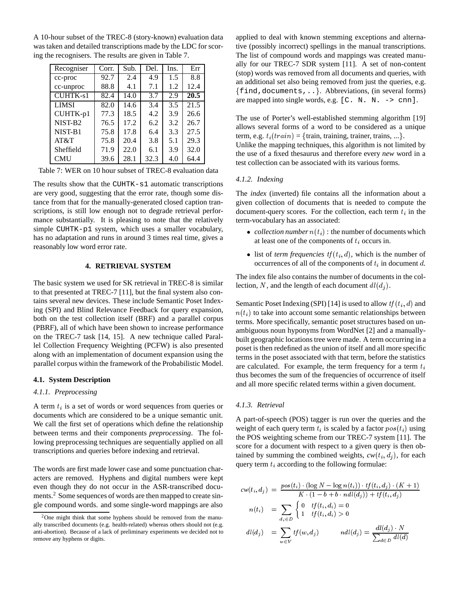A 10-hour subset of the TREC-8 (story-known) evaluation data was taken and detailed transcriptions made by the LDC for scoring the recognisers. The results are given in Table 7.

| Recogniser          | Corr. | Sub. | Del. | Ins. | Err  |
|---------------------|-------|------|------|------|------|
| cc-proc             | 92.7  | 2.4  | 4.9  | 1.5  | 8.8  |
| cc-unproc           | 88.8  | 4.1  | 7.1  | 1.2  | 12.4 |
| <b>CUHTK-s1</b>     | 82.4  | 14.0 | 3.7  | 2.9  | 20.5 |
| <b>LIMSI</b>        | 82.0  | 14.6 | 3.4  | 3.5  | 21.5 |
| CUHTK-p1            | 77.3  | 18.5 | 4.2  | 3.9  | 26.6 |
| NIST-B <sub>2</sub> | 76.5  | 17.2 | 6.2  | 3.2  | 26.7 |
| NIST-B1             | 75.8  | 17.8 | 6.4  | 3.3  | 27.5 |
| AT&T                | 75.8  | 20.4 | 3.8  | 5.1  | 29.3 |
| Sheffield           | 71.9  | 22.0 | 6.1  | 3.9  | 32.0 |
| <b>CMU</b>          | 39.6  | 28.1 | 32.3 | 4.0  | 64.4 |

Table 7: WER on 10 hour subset of TREC-8 evaluation data

The results show that the CUHTK-s1 automatic transcriptions are very good, suggesting that the error rate, though some distance from that for the manually-generated closed caption transcriptions, is still low enough not to degrade retrieval performance substantially. It is pleasing to note that the relatively simple CUHTK-p1 system, which uses a smaller vocabulary, has no adaptation and runs in around 3 times real time, gives a reasonably low word error rate.

### **4. RETRIEVAL SYSTEM**

The basic system we used for SK retrieval in TREC-8 is similar to that presented at TREC-7 [11], but the final system also contains several new devices. These include Semantic Poset Indexing (SPI) and Blind Relevance Feedback for query expansion, both on the test collection itself (BRF) and a parallel corpus (PBRF), all of which have been shown to increase performance on the TREC-7 task [14, 15]. A new technique called Parallel Collection Frequency Weighting (PCFW) is also presented along with an implementation of document expansion using the parallel corpus within the framework of the Probabilistic Model.

#### **4.1. System Description**

#### *4.1.1. Preprocessing*

A term  $t_i$  is a set of words or word sequences from queries or documents which are considered to be a unique semantic unit. We call the first set of operations which define the relationship between terms and their components *preprocessing*. The following preprocessing techniques are sequentially applied on all transcriptions and queries before indexing and retrieval.

The words are first made lower case and some punctuation characters are removed. Hyphens and digital numbers were kept even though they do not occur in the ASR-transcribed documents.<sup>2</sup> Some sequences of words are then mapped to create single compound words. and some single-word mappings are also

applied to deal with known stemming exceptions and alternative (possibly incorrect) spellings in the manual transcriptions. The list of compound words and mappings was created manually for our TREC-7 SDR system [11]. A set of non-content (stop) words was removed from all documents and queries, with an additional set also being removed from just the queries, e.g.  $\{\text{find}, \text{documents}, \ldots\}$ . Abbreviations, (in several forms) are mapped into single words, e.g.  $[C, N, N, -\geq cnn]$ .

The use of Porter's well-established stemming algorithm [19] allows several forms of a word to be considered as a unique term, e.g.  $t_i(train) = \{train, training, trainer, trains, ...\}.$ Unlike the mapping techniques, this algorithm is not limited by the use of a fixed thesaurus and therefore every *new* word in a test collection can be associated with its various forms.

#### *4.1.2. Indexing*

The *index* (inverted) file contains all the information about a given collection of documents that is needed to compute the document-query scores. For the collection, each term  $t_i$  in the term-vocabulary has an associated:

- *collection number*  $n(t_i)$ : the number of documents which at least one of the components of  $t_i$  occurs in.
- ilast of *term frequencies*  $tf(t_i, d)$ , which is the number of occurrences of all of the components of  $t_i$  in document d.

The index file also contains the number of documents in the collection, N, and the length of each document  $dl(d_i)$ .

Semantic Poset Indexing (SPI) [14] is used to allow  $tf(t_i, d)$  and  $n(t<sub>i</sub>)$  to take into account some semantic relationships between terms. More specifically, semantic poset structures based on unambiguous noun hyponyms from WordNet [2] and a manuallybuilt geographic locations tree were made. A term occurring in a poset is then redefined as the union of itself and all more specific terms in the poset associated with that term, before the statistics are calculated. For example, the term frequency for a term  $t_i$ thus becomes the sum of the frequencies of occurrence of itself and all more specific related terms within a given document.

#### *4.1.3. Retrieval*

A part-of-speech (POS) tagger is run over the queries and the weight of each query term  $t_i$  is scaled by a factor  $pos(t_i)$  using the POS weighting scheme from our TREC-7 system [11]. The score for a document with respect to a given query is then obtained by summing the combined weights,  $cw(t_i, d_i)$ , for each query term  $t_i$  according to the following formulae:

$$
cw(t_i, d_j) = \frac{pos(t_i) \cdot (\log N - \log n(t_i)) \cdot tf(t_i, d_j) \cdot (K+1)}{K \cdot (1 - b + b \cdot ndl(d_j)) + tf(t_i, d_j)}
$$

$$
n(t_i) = \sum_{d_i \in D} \begin{cases} 0 & \text{if } (t_i, d_i) = 0\\ 1 & \text{if } (t_i, d_i) > 0 \end{cases}
$$

$$
dl(d_j) = \sum_{w \in V} tf(w, d_j) \qquad ndl(d_j) = \frac{dl(d_j) \cdot N}{\sum_{d \in D} dl(d)}
$$

 $2$ One might think that some hyphens should be removed from the manually transcribed documents (e.g. health-related) whereas others should not (e.g. anti-abortion). Because of a lack of preliminary experiments we decided not to remove any hyphens or digits.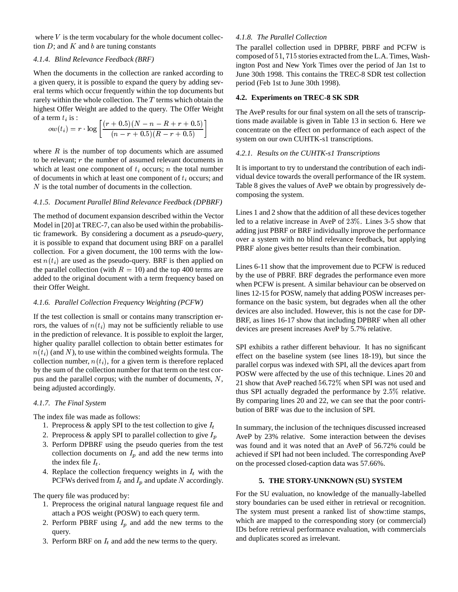where  $V$  is the term vocabulary for the whole document collection  $D$ ; and  $K$  and  $b$  are tuning constants

### *4.1.4. Blind Relevance Feedback (BRF)*

When the documents in the collection are ranked according to a given query, it is possible to expand the query by adding several terms which occur frequently within the top documents but rarely within the whole collection. The <sup>T</sup> terms which obtain the highest Offer Weight are added to the query. The Offer Weight of a term  $t_i$  is :

$$
ow(t_i) = r \cdot \log \left[ \frac{(r+0.5)(N-n-R+r+0.5)}{(n-r+0.5)(R-r+0.5)} \right]
$$

where  $R$  is the number of top documents which are assumed to be relevant;  $r$  the number of assumed relevant documents in which at least one component of  $t_i$  occurs; n the total number of documents in which at least one component of  $t_i$  occurs; and N is the total number of documents in the collection.

## *4.1.5. Document Parallel Blind Relevance Feedback (DPBRF)*

The method of document expansion described within the Vector Model in [20] at TREC-7, can also be used within the probabilistic framework. By considering a document as a *pseudo-query*, it is possible to expand that document using BRF on a parallel collection. For a given document, the 100 terms with the lowest  $n(t_i)$  are used as the pseudo-query. BRF is then applied on the parallel collection (with  $R = 10$ ) and the top 400 terms are added to the original document with a term frequency based on their Offer Weight.

## *4.1.6. Parallel Collection Frequency Weighting (PCFW)*

If the test collection is small or contains many transcription errors, the values of  $n(t_i)$  may not be sufficiently reliable to use in the prediction of relevance. It is possible to exploit the larger, higher quality parallel collection to obtain better estimates for  $n(t_i)$  (and N), to use within the combined weights formula. The collection number,  $n(t_i)$ , for a given term is therefore replaced by the sum of the collection number for that term on the test corpus and the parallel corpus; with the number of documents,  $N$ , being adjusted accordingly.

## *4.1.7. The Final System*

The index file was made as follows:

- 1. Preprocess & apply SPI to the test collection to give  $I_t$
- 2. Preprocess & apply SPI to parallel collection to give  $I_p$
- 3. Perform DPBRF using the pseudo queries from the test collection documents on  $I_p$  and add the new terms into the index file  $I_t$ .
- 4. Replace the collection frequency weights in  $I_t$  with the PCFWs derived from  $I_t$  and  $I_p$  and update N accordingly.

The query file was produced by:

- 1. Preprocess the original natural language request file and attach a POS weight (POSW) to each query term.
- 2. Perform PBRF using  $I_p$  and add the new terms to the query.
- 3. Perform BRF on  $I_t$  and add the new terms to the query.

# *4.1.8. The Parallel Collection*

The parallel collection used in DPBRF, PBRF and PCFW is composed of 51, 715 stories extracted from the L.A. Times, Washington Post and New York Times over the period of Jan 1st to June 30th 1998. This contains the TREC-8 SDR test collection period (Feb 1st to June 30th 1998).

## **4.2. Experiments on TREC-8 SK SDR**

The AveP results for our final system on all the sets of transcriptions made available is given in Table 13 in section 6. Here we concentrate on the effect on performance of each aspect of the system on our own CUHTK-s1 transcriptions.

## *4.2.1. Results on the CUHTK-s1 Transcriptions*

It is important to try to understand the contribution of each individual device towards the overall performance of the IR system. Table 8 gives the values of AveP we obtain by progressively decomposing the system.

Lines 1 and 2 show that the addition of all these devices together led to a relative increase in AveP of 23%. Lines 3-5 show that adding just PBRF or BRF individually improve the performance over a system with no blind relevance feedback, but applying PBRF alone gives better results than their combination.

Lines 6-11 show that the improvement due to PCFW is reduced by the use of PBRF. BRF degrades the performance even more when PCFW is present. A similar behaviour can be observed on lines 12-15 for POSW, namely that adding POSW increases performance on the basic system, but degrades when all the other devices are also included. However, this is not the case for DP-BRF, as lines 16-17 show that including DPBRF when all other devices are present increases AveP by 5.7% relative.

SPI exhibits a rather different behaviour. It has no significant effect on the baseline system (see lines 18-19), but since the parallel corpus was indexed with SPI, all the devices apart from POSW were affected by the use of this technique. Lines 20 and 21 show that AveP reached 56:72% when SPI was not used and thus SPI actually degraded the performance by 2:5% relative. By comparing lines 20 and 22, we can see that the poor contribution of BRF was due to the inclusion of SPI.

In summary, the inclusion of the techniques discussed increased AveP by 23% relative. Some interaction between the devises was found and it was noted that an AveP of 56.72% could be achieved if SPI had not been included. The corresponding AveP on the processed closed-caption data was 57.66%.

# **5. THE STORY-UNKNOWN (SU) SYSTEM**

For the SU evaluation, no knowledge of the manually-labelled story boundaries can be used either in retrieval or recognition. The system must present a ranked list of show:time stamps, which are mapped to the corresponding story (or commercial) IDs before retrieval performance evaluation, with commercials and duplicates scored as irrelevant.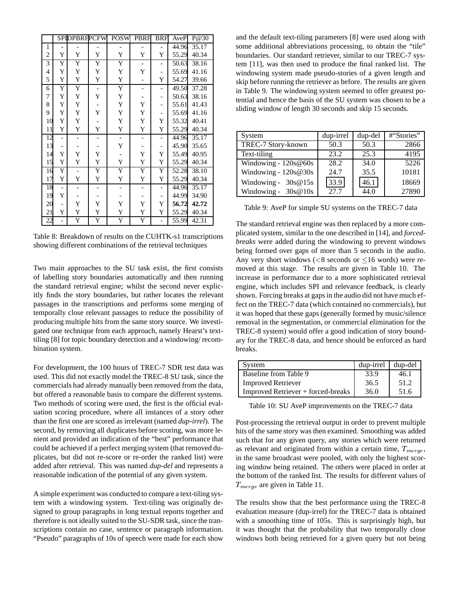|                |                          | <b>SPIDPBRFPCFW</b> |                          | <b>POSW</b>              | PBRF                     | <b>BRF</b>               | AveP  | P@30  |
|----------------|--------------------------|---------------------|--------------------------|--------------------------|--------------------------|--------------------------|-------|-------|
| $\mathbf{1}$   |                          |                     | -                        |                          |                          |                          | 44.96 | 35.17 |
| $\overline{2}$ | Y                        | Y                   | Y                        | Y                        | Y                        | Y                        | 55.29 | 40.34 |
| 3              | Y                        | Ÿ                   | Y                        | $\overline{Y}$           |                          |                          | 50.63 | 38.16 |
| $\overline{4}$ | Y                        | Y                   | Y                        | Y                        | Y                        | -                        | 55.69 | 41.16 |
| 5              | Y                        | Y                   | Y                        | Y                        | $\overline{\phantom{0}}$ | Y                        | 54.27 | 39.66 |
| 6              | Y                        | Y                   | $\qquad \qquad -$        | Y                        | $\overline{\phantom{0}}$ |                          | 49.50 | 37.28 |
| 7              | Y                        | Y                   | Y                        | Y                        | -                        | $\overline{\phantom{0}}$ | 50.63 | 38.16 |
| 8              | Y                        | Y                   |                          | Y                        | Y                        | $\overline{a}$           | 55.61 | 41.43 |
| 9              | Y                        | Y                   | Y                        | Y                        | Y                        |                          | 55.69 | 41.16 |
| 10             | Y                        | Y                   |                          | Y                        | $\mathbf Y$              | Y                        | 55.32 | 40.41 |
| 11             | Y                        | Y                   | Y                        | Y                        | Y                        | Y                        | 55.29 | 40.34 |
| 12             | $\overline{a}$           |                     | $\overline{\phantom{0}}$ | $\qquad \qquad -$        | $\overline{\phantom{0}}$ | $\overline{a}$           | 44.96 | 35.17 |
| 13             |                          |                     |                          | Y                        |                          |                          | 45.90 | 35.65 |
| 14             | Y                        | Y                   | Y                        |                          | Y                        | Y                        | 55.49 | 40.95 |
| 15             | Y                        | Y                   | Y                        | Y                        | Y                        | Y                        | 55.29 | 40.34 |
| 16             | Y                        |                     | Y                        | Y                        | Y                        | Y                        | 52.28 | 38.10 |
| 17             | Y                        | Y                   | Y                        | Y                        | Y                        | Y                        | 55.29 | 40.34 |
| 18             | $\overline{\phantom{0}}$ |                     | -                        | $\overline{\phantom{0}}$ | $\overline{\phantom{a}}$ |                          | 44.96 | 35.17 |
| 19             | Y                        |                     |                          |                          |                          |                          | 44.99 | 34.90 |
| 20             |                          | Y                   | Y                        | Y                        | Y                        | Y                        | 56.72 | 42.72 |
| 21             | Y                        | Y                   | Y                        | Y                        | Y                        | Y                        | 55.29 | 40.34 |
| 22             |                          | Y                   | Y                        | Y                        | Y                        | $\overline{a}$           | 55.99 | 42.31 |

Table 8: Breakdown of results on the CUHTK-s1 transcriptions showing different combinations of the retrieval techniques

Two main approaches to the SU task exist, the first consists of labelling story boundaries automatically and then running the standard retrieval engine; whilst the second never explicitly finds the story boundaries, but rather locates the relevant passages in the transcriptions and performs some merging of temporally close relevant passages to reduce the possibility of producing multiple hits from the same story source. We investigated one technique from each approach, namely Hearst's texttiling [8] for topic boundary detection and a windowing/ recombination system.

For development, the 100 hours of TREC-7 SDR test data was used. This did not exactly model the TREC-8 SU task, since the commercials had already manually been removed from the data, but offered a reasonable basis to compare the different systems. Two methods of scoring were used, the first is the official evaluation scoring procedure, where all instances of a story other than the first one are scored as irrelevant (named *dup-irrel*). The second, by removing all duplicates before scoring, was more lenient and provided an indication of the "best" performance that could be achieved if a perfect merging system (that removed duplicates, but did not re-score or re-order the ranked list) were added after retrieval. This was named *dup-del* and represents a reasonable indication of the potential of any given system.

A simple experiment was conducted to compare a text-tiling system with a windowing system. Text-tiling was originally designed to group paragraphs in long textual reports together and therefore is not ideally suited to the SU-SDR task, since the transcriptions contain no case, sentence or paragraph information. "Pseudo" paragraphs of 10s of speech were made for each show and the default text-tiling parameters [8] were used along with some additional abbreviations processing, to obtain the "tile" boundaries. Our standard retriever, similar to our TREC-7 system [11], was then used to produce the final ranked list. The windowing system made pseudo-stories of a given length and skip before running the retriever as before. The results are given in Table 9. The windowing system seemed to offer greatest potential and hence the basis of the SU system was chosen to be a sliding window of length 30 seconds and skip 15 seconds.

| System                 | dup-irrel | dup-del | #"Stories" |
|------------------------|-----------|---------|------------|
| TREC-7 Story-known     | 50.3      | 50.3    | 2866       |
| Text-tiling            | 23.2      | 25.3    | 4195       |
| Windowing - $120s@60s$ | 28.2      | 34.0    | 5226       |
| Windowing - 120s@30s   | 24.7      | 35.5    | 10181      |
| Windowing - $30s@15s$  | 33.9      | 46.1    | 18669      |
| Windowing - $30s@10s$  | 27.7      | 44.0    | 27890      |

Table 9: AveP for simple SU systems on the TREC-7 data

The standard retrieval engine was then replaced by a more complicated system, similar to the one described in [14], and *forcedbreaks* were added during the windowing to prevent windows being formed over gaps of more than 5 seconds in the audio. Any very short windows  $\ll 8$  seconds or  $\lt 16$  words) were removed at this stage. The results are given in Table 10. The increase in performance due to a more sophisticated retrieval engine, which includes SPI and relevance feedback, is clearly shown. Forcing breaks at gaps in the audio did not have much effect on the TREC-7 data (which contained no commercials), but it was hoped that these gaps (generally formed by music/silence removal in the segmentation, or commercial elimination for the TREC-8 system) would offer a good indication of story boundary for the TREC-8 data, and hence should be enforced as hard breaks.

| System                             | dup-irrel | dup-del |
|------------------------------------|-----------|---------|
| Baseline from Table 9              | 33.9      | 46.1    |
| <b>Improved Retriever</b>          | 36.5      | 51.2    |
| Improved Retriever + forced-breaks | 36.0      | 51.6    |

Table 10: SU AveP improvements on the TREC-7 data

Post-processing the retrieval output in order to prevent multiple hits of the same story was then examined. Smoothing was added such that for any given query, any stories which were returned as relevant and originated from within a certain time,  $T_{merge}$ , in the same broadcast were pooled, with only the highest scoring window being retained. The others were placed in order at the bottom of the ranked list. The results for different values of  $T_{merge}$  are given in Table 11.

The results show that the best performance using the TREC-8 evaluation measure (dup-irrel) for the TREC-7 data is obtained with a smoothing time of 105s. This is surprisingly high, but it was thought that the probability that two temporally close windows both being retrieved for a given query but not being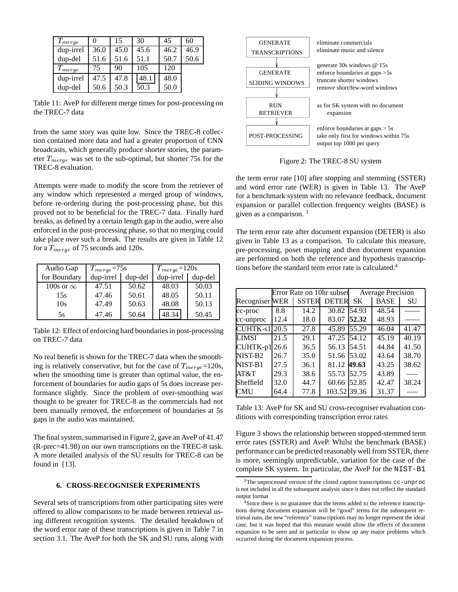| $T_{merge}$ | 0    | 15   | 30   | 45   | 60   |
|-------------|------|------|------|------|------|
| dup-irrel   | 36.0 | 45.0 | 45.6 | 46.2 | 46.9 |
| dup-del     | 51.6 | 51.6 | 51.1 | 50.7 | 50.6 |
| $T_{merge}$ | 75   | 90   | 105  | 120  |      |
| dup-irrel   | 47.5 | 47.8 | 48.1 | 48.0 |      |
| dup-del     | 50.6 | 50.3 | 50.3 | 50.0 |      |

Table 11: AveP for different merge times for post-processing on the TREC-7 data

from the same story was quite low. Since the TREC-8 collection contained more data and had a greater proportion of CNN broadcasts, which generally produce shorter stories, the parameter  $T_{merge}$  was set to the sub-optimal, but shorter 75s for the TREC-8 evaluation.

Attempts were made to modify the score from the retriever of any window which represented a merged group of windows, before re-ordering during the post-processing phase, but this proved not to be beneficial for the TREC-7 data. Finally hard breaks, as defined by a certain length gap in the audio, were also enforced in the post-processing phase, so that no merging could take place over such a break. The results are given in Table 12 for a  $T_{merge}$  of 75 seconds and 120s.

| Audio Gap        | $T_{merge} = 75s$ |         | $T_{merge} = 120s$  |       |
|------------------|-------------------|---------|---------------------|-------|
| for Boundary     | dup-irrel         | dup-del | $dup-irrel$ dup-del |       |
| 100s or $\infty$ | 47.51             | 50.62   | 48.03               | 50.03 |
| 15s              | 47.46             | 50.61   | 48.05               | 50.11 |
| 10s              | 47.49             | 50.63   | 48.08               | 50.13 |
| 5s               | 47.46             | 50.64   | 48.34               | 50.45 |

Table 12: Effect of enforcing hard boundaries in post-processing on TREC-7 data

No real benefit is shown for the TREC-7 data when the smoothing is relatively conservative, but for the case of  $T_{merge}=120$ s, when the smoothing time is greater than optimal value, the enforcement of boundaries for audio gaps of 5s does increase performance slightly. Since the problem of over-smoothing was thought to be greater for TREC-8 as the commercials had not been manually removed, the enforcement of boundaries at 5s gaps in the audio was maintained.

The final system, summarised in Figure 2, gave an AveP of 41.47 (R-prec=41.98) on our own transcriptions on the TREC-8 task. A more detailed analysis of the SU results for TREC-8 can be found in [13].

## **6. CROSS-RECOGNISER EXPERIMENTS**

Several sets of transcriptions from other participating sites were offered to allow comparisons to be made between retrieval using different recognition systems. The detailed breakdown of the word error rate of these transcriptions is given in Table 7 in section 3.1. The AveP for both the SK and SU runs, along with



Figure 2: The TREC-8 SU system

the term error rate [10] after stopping and stemming (SSTER) and word error rate (WER) is given in Table 13. The AveP for a benchmark system with no relevance feedback, document expansion or parallel collection frequency weights (BASE) is given as a comparison. <sup>3</sup>

The term error rate after document expansion (DETER) is also given in Table 13 as a comparison. To calculate this measure, pre-processing, poset mapping and then document expansion are performed on both the reference and hypothesis transcriptions before the standard term error rate is calculated.4

| Error Rate on 10hr subset |      |              | <b>Average Precision</b> |           |             |       |
|---------------------------|------|--------------|--------------------------|-----------|-------------|-------|
| <b>Recogniser WER</b>     |      | <b>SSTER</b> | <b>DETER</b>             | <b>SK</b> | <b>BASE</b> | SU    |
| cc-proc                   | 8.8  | 14.2         | 30.82                    | 54.93     | 48.54       |       |
| cc-unproc                 | 12.4 | 18.0         | 83.07                    | 52.32     | 48.93       |       |
| <b>CUHTK-s1</b>           | 20.5 | 27.8         | 45.89                    | 55.29     | 46.04       | 41.47 |
| LIMSI                     | 21.5 | 29.1         | $\overline{47.25}$       | 54.12     | 45.19       | 40.19 |
| CUHTK-p1                  | 26.6 | 36.5         | 56.13                    | 54.51     | 44.84       | 41.50 |
| NIST-B2                   | 26.7 | 35.0         | 51.56                    | 53.02     | 43.64       | 38.70 |
| NIST-B1                   | 27.5 | 36.1         | 81.12 49.63              |           | 43.25       | 38.62 |
| AT&T                      | 29.3 | 38.6         | 55.73                    | 52.75     | 43.89       |       |
| Sheffield                 | 32.0 | 44.7         | 60.66                    | 52.85     | 42.47       | 38.24 |
| CMU                       | 64.4 | 77.8         | 103.52 39.36             |           | 31.37       |       |

Table 13: AveP for SK and SU cross-recogniser evaluation conditions with corresponding transcription error rates

Figure 3 shows the relationship between stopped-stemmed term error rates (SSTER) and AveP. Whilst the benchmark (BASE) performance can be predicted reasonably well from SSTER, there is more, seemingly unpredictable, variation for the case of the complete SK system. In particular, the AveP for the NIST-B1

<sup>3</sup>The unprocessed version of the closed caption transcriptions cc-unproc is not included in all the subsequent analysis since it does not reflect the standard output format

<sup>&</sup>lt;sup>4</sup>Since there is no guarantee that the terms added to the reference transcriptions during document expansion will be "good" terms for the subsequent retrieval runs, the new "reference" transcriptions may no longer represent the ideal case, but it was hoped that this measure would allow the effects of document expansion to be seen and in particular to show up any major problems which occurred during the document expansion process.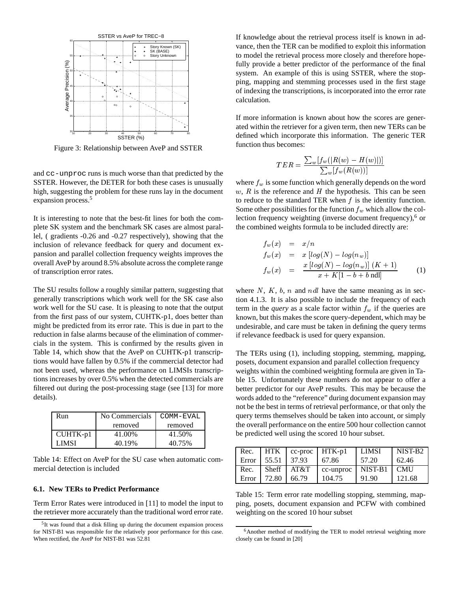

Figure 3: Relationship between AveP and SSTER

and cc-unproc runs is much worse than that predicted by the SSTER. However, the DETER for both these cases is unusually high, suggesting the problem for these runs lay in the document expansion process.<sup>5</sup>

It is interesting to note that the best-fit lines for both the complete SK system and the benchmark SK cases are almost parallel, ( gradients -0.26 and -0.27 respectively), showing that the inclusion of relevance feedback for query and document expansion and parallel collection frequency weights improves the overall AveP by around 8.5% absolute across the complete range of transcription error rates.

The SU results follow a roughly similar pattern, suggesting that generally transcriptions which work well for the SK case also work well for the SU case. It is pleasing to note that the output from the first pass of our system, CUHTK-p1, does better than might be predicted from its error rate. This is due in part to the reduction in false alarms because of the elimination of commercials in the system. This is confirmed by the results given in Table 14, which show that the AveP on CUHTK-p1 transcriptions would have fallen by 0.5% if the commercial detector had not been used, whereas the performance on LIMSIs transcriptions increases by over 0.5% when the detected commercials are filtered out during the post-processing stage (see [13] for more details).

| Run      | No Commercials | COMM-EVAL |  |
|----------|----------------|-----------|--|
|          | removed        | removed   |  |
| CUHTK-p1 | 41.00%         | 41.50%    |  |
| LIMSI    | 40.19%         | 40.75%    |  |

Table 14: Effect on AveP for the SU case when automatic commercial detection is included

#### **6.1. New TERs to Predict Performance**

Term Error Rates were introduced in [11] to model the input to the retriever more accurately than the traditional word error rate. If knowledge about the retrieval process itself is known in advance, then the TER can be modified to exploit this information to model the retrieval process more closely and therefore hopefully provide a better predictor of the performance of the final system. An example of this is using SSTER, where the stopping, mapping and stemming processes used in the first stage of indexing the transcriptions, is incorporated into the error rate calculation.

If more information is known about how the scores are generated within the retriever for a given term, then new TERs can be defined which incorporate this information. The generic TER function thus becomes:

$$
TER = \frac{\sum_w [f_w(|R(w) - H(w)|)]}{\sum_w [f_w(R(w))]}
$$

where  $f_w$  is some function which generally depends on the word  $w, R$  is the reference and  $H$  the hypothesis. This can be seen to reduce to the standard TER when  $f$  is the identity function. Some other possibilities for the function  $f_w$  which allow the collection frequency weighting (inverse document frequency),<sup>6</sup> or the combined weights formula to be included directly are:

$$
f_w(x) = x/n
$$
  
\n
$$
f_w(x) = x [log(N) - log(n_w)]
$$
  
\n
$$
f_w(x) = \frac{x [log(N) - log(n_w)] (K + 1)}{x + K[1 - b + b \text{ null}]}
$$
 (1)

where  $N$ ,  $K$ ,  $b$ ,  $n$  and ndl have the same meaning as in section 4.1.3. It is also possible to include the frequency of each term in the *query* as a scale factor within  $f_w$  if the queries are known, but this makes the score query-dependent, which may be undesirable, and care must be taken in defining the query terms if relevance feedback is used for query expansion.

The TERs using (1), including stopping, stemming, mapping, posets, document expansion and parallel collection frequency weights within the combined weighting formula are given in Table 15. Unfortunately these numbers do not appear to offer a better predictor for our AveP results. This may be because the words added to the "reference" during document expansion may not be the best in terms of retrieval performance, or that only the query terms themselves should be taken into account, or simply the overall performance on the entire 500 hour collection cannot be predicted well using the scored 10 hour subset.

| Rec.  | I HTK                 |              | $cc$ -proc $HTK-p1$ | LIMSI   | NIST-B <sub>2</sub> |
|-------|-----------------------|--------------|---------------------|---------|---------------------|
|       | Error   55.51   37.93 |              | 67.86               | 57.20   | 62.46               |
| Rec.  |                       | Sheff $AT&T$ | cc-unproc           | NIST-B1 | <b>CMU</b>          |
| Error | 72.80                 | 66.79        | 104.75              | 91.90   | 121.68              |

Table 15: Term error rate modelling stopping, stemming, mapping, posets, document expansion and PCFW with combined weighting on the scored 10 hour subset

<sup>&</sup>lt;sup>5</sup>It was found that a disk filling up during the document expansion process for NIST-B1 was responsible for the relatively poor performance for this case. When rectified, the AveP for NIST-B1 was 52.81

<sup>&</sup>lt;sup>6</sup>Another method of modifying the TER to model retrieval weighting more closely can be found in [20]